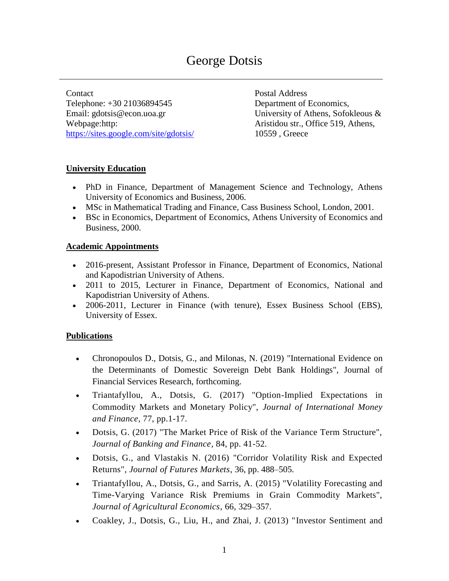# George Dotsis

Contact Telephone: +30 21036894545 Email: gdotsis@econ.uoa.gr Webpage:http: <https://sites.google.com/site/gdotsis/>

Postal Address Department of Economics, University of Athens, Sofokleous & Aristidou str., Office 519, Athens, 10559 , Greece

#### **University Education**

- PhD in Finance, Department of Management Science and Technology, Athens University of Economics and Business, 2006.
- MSc in Mathematical Trading and Finance, Cass Business School, London, 2001.
- BSc in Economics, Department of Economics, Athens University of Economics and Business, 2000.

#### **Academic Appointments**

- 2016-present, Assistant Professor in Finance, Department of Economics, National and Kapodistrian University of Athens.
- 2011 to 2015, Lecturer in Finance, Department of Economics, National and Kapodistrian University of Athens.
- 2006-2011, Lecturer in Finance (with tenure), Essex Business School (EBS), University of Essex.

# **Publications**

- Chronopoulos D., Dotsis, G., and Milonas, N. (2019) "International Evidence on the Determinants of Domestic Sovereign Debt Bank Holdings", Journal of Financial Services Research, forthcoming.
- Triantafyllou, A., Dotsis, G. (2017) "Option-Implied Expectations in Commodity Markets and Monetary Policy", *Journal of International Money and Finance*, 77, pp.1-17.
- Dotsis, G. (2017) "The Market Price of Risk of the Variance Term Structure", *Journal of Banking and Finance*, 84, pp. 41-52.
- Dotsis, G., and Vlastakis N. (2016) "Corridor Volatility Risk and Expected Returns", *Journal of Futures Markets*, 36, pp. 488–505.
- Triantafyllou, A., Dotsis, G., and Sarris, A. (2015) "Volatility Forecasting and Time-Varying Variance Risk Premiums in Grain Commodity Markets", *Journal of Agricultural Economics*, 66, 329–357.
- Coakley, J., Dotsis, G., Liu, H., and Zhai, J. (2013) ["Investor Sentiment and](http://papers.ssrn.com/sol3/papers.cfm?abstract_id=1906286)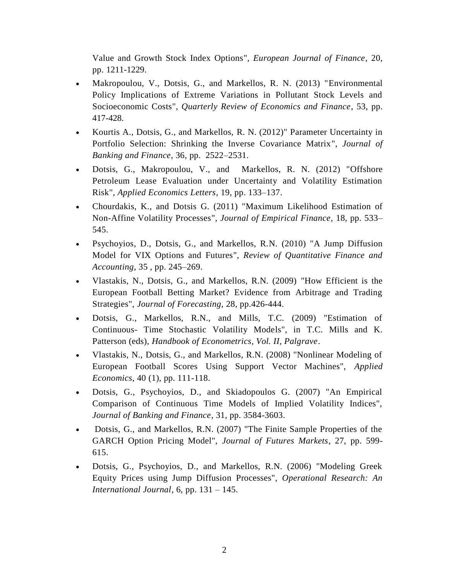Value and Growth Stock Index Options", *European Journal of Finance*, 20, pp. 1211-1229.

- Makropoulou, V., Dotsis, G., and Markellos, R. N. (2013) "Environmental [Policy Implications of Extreme Variations in Pollutant Stock Levels and](http://papers.ssrn.com/sol3/papers.cfm?abstract_id=987503)  [Socioeconomic Costs"](http://papers.ssrn.com/sol3/papers.cfm?abstract_id=987503), *Quarterly Review of Economics and Finance*, 53, pp. 417-428.
- Kourtis A., Dotsis, G., and Markellos, R. N. (2012)" [Parameter Uncertainty in](http://papers.ssrn.com/sol3/papers.cfm?abstract_id=1343502)  [Portfolio Selection: Shrinking the Inverse Covariance Matrix"](http://papers.ssrn.com/sol3/papers.cfm?abstract_id=1343502), *Journal of Banking and Finance*, 36, pp. 2522–2531.
- Dotsis, G., Makropoulou, V., and Markellos, R. N. (2012) ["Offshore](http://papers.ssrn.com/sol3/papers.cfm?abstract_id=936067)  [Petroleum Lease Evaluation under Uncertainty and Volatility Estimation](http://papers.ssrn.com/sol3/papers.cfm?abstract_id=936067)  [Risk"](http://papers.ssrn.com/sol3/papers.cfm?abstract_id=936067), *Applied Economics Letters*, 19, pp. 133–137.
- Chourdakis, K., and Dotsis G. (2011) ["Maximum Likelihood Estimation of](http://www.sciencedirect.com/science/article/pii/S0927539810000782)  [Non-Affine Volatility Processes"](http://www.sciencedirect.com/science/article/pii/S0927539810000782), *Journal of Empirical Finance*, 18, pp. 533– 545.
- Psychoyios, D., Dotsis, G., and Markellos, R.N. (2010) ["A Jump Diffusion](http://papers.ssrn.com/sol3/papers.cfm?abstract_id=1136869)  [Model for VIX Options and Futures"](http://papers.ssrn.com/sol3/papers.cfm?abstract_id=1136869), *Review of Quantitative Finance and Accounting*, 35 , pp. 245–269.
- Vlastakis, N., Dotsis, G., and Markellos, R.N. (2009) "How Efficient is the European Football Betting Market? Evidence from Arbitrage and Trading Strategies", *Journal of Forecasting*, 28, pp.426-444.
- Dotsis, G., Markellos, R.N., and Mills, T.C. (2009) "Estimation of Continuous- Time Stochastic Volatility Models", in T.C. Mills and K. Patterson (eds), *Handbook of Econometrics, Vol. II, Palgrave*.
- Vlastakis, N., Dotsis, G., and Markellos, R.N. (2008) "Nonlinear Modeling of European Football Scores Using Support Vector Machines", *Applied Economics*, 40 (1), pp. 111-118.
- Dotsis, G., Psychoyios, D., and Skiadopoulos G. (2007) "An Empirical Comparison of Continuous Time Models of Implied Volatility Indices", *Journal of Banking and Finance*, 31, pp. 3584-3603.
- Dotsis, G., and Markellos, R.N. (2007) "The Finite Sample Properties of the GARCH Option Pricing Model", *Journal of Futures Markets*, 27, pp. 599- 615.
- Dotsis, G., Psychoyios, D., and Markellos, R.N. (2006) "Modeling Greek Equity Prices using Jump Diffusion Processes", *Operational Research: An International Journal*, 6, pp. 131 – 145.